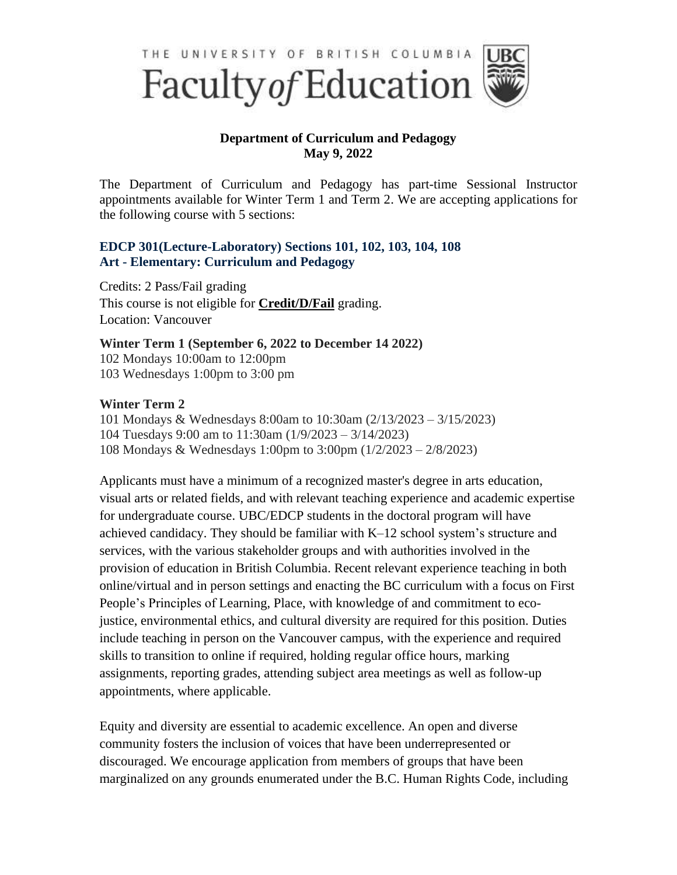

## **Department of Curriculum and Pedagogy May 9, 2022**

The Department of Curriculum and Pedagogy has part-time Sessional Instructor appointments available for Winter Term 1 and Term 2. We are accepting applications for the following course with 5 sections:

## **EDCP 301(Lecture-Laboratory) Sections 101, 102, 103, 104, 108 Art - Elementary: Curriculum and Pedagogy**

Credits: 2 Pass/Fail grading This course is not eligible for **[Credit/D/Fail](http://www.students.ubc.ca/coursesreg/registering-for-courses/credit-d-fail)** grading. Location: Vancouver

**Winter Term 1 (September 6, 2022 to December 14 2022)** 102 Mondays 10:00am to 12:00pm 103 Wednesdays 1:00pm to 3:00 pm

## **Winter Term 2**

101 Mondays & Wednesdays 8:00am to 10:30am (2/13/2023 – 3/15/2023) 104 Tuesdays 9:00 am to 11:30am (1/9/2023 – 3/14/2023) 108 Mondays & Wednesdays 1:00pm to 3:00pm (1/2/2023 – 2/8/2023)

Applicants must have a minimum of a recognized master's degree in arts education, visual arts or related fields, and with relevant teaching experience and academic expertise for undergraduate course. UBC/EDCP students in the doctoral program will have achieved candidacy. They should be familiar with K–12 school system's structure and services, with the various stakeholder groups and with authorities involved in the provision of education in British Columbia. Recent relevant experience teaching in both online/virtual and in person settings and enacting the BC curriculum with a focus on First People's Principles of Learning, Place, with knowledge of and commitment to ecojustice, environmental ethics, and cultural diversity are required for this position. Duties include teaching in person on the Vancouver campus, with the experience and required skills to transition to online if required, holding regular office hours, marking assignments, reporting grades, attending subject area meetings as well as follow-up appointments, where applicable.

Equity and diversity are essential to academic excellence. An open and diverse community fosters the inclusion of voices that have been underrepresented or discouraged. We encourage application from members of groups that have been marginalized on any grounds enumerated under the B.C. Human Rights Code, including